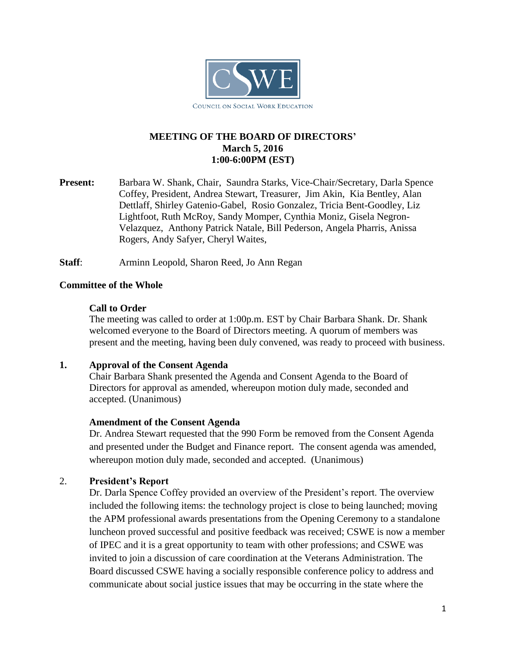

# **MEETING OF THE BOARD OF DIRECTORS' March 5, 2016 1:00-6:00PM (EST)**

**Present:** Barbara W. Shank, Chair, Saundra Starks, Vice-Chair/Secretary, Darla Spence Coffey, President, Andrea Stewart, Treasurer, Jim Akin, Kia Bentley, Alan Dettlaff, Shirley Gatenio-Gabel, Rosio Gonzalez, Tricia Bent-Goodley, Liz Lightfoot, Ruth McRoy, Sandy Momper, Cynthia Moniz, Gisela Negron-Velazquez, Anthony Patrick Natale, Bill Pederson, Angela Pharris, Anissa Rogers, Andy Safyer, Cheryl Waites,

**Staff**: Arminn Leopold, Sharon Reed, Jo Ann Regan

### **Committee of the Whole**

### **Call to Order**

The meeting was called to order at 1:00p.m. EST by Chair Barbara Shank. Dr. Shank welcomed everyone to the Board of Directors meeting. A quorum of members was present and the meeting, having been duly convened, was ready to proceed with business.

# **1. Approval of the Consent Agenda**

Chair Barbara Shank presented the Agenda and Consent Agenda to the Board of Directors for approval as amended, whereupon motion duly made, seconded and accepted. (Unanimous)

#### **Amendment of the Consent Agenda**

Dr. Andrea Stewart requested that the 990 Form be removed from the Consent Agenda and presented under the Budget and Finance report. The consent agenda was amended, whereupon motion duly made, seconded and accepted. (Unanimous)

# 2. **President's Report**

Dr. Darla Spence Coffey provided an overview of the President's report. The overview included the following items: the technology project is close to being launched; moving the APM professional awards presentations from the Opening Ceremony to a standalone luncheon proved successful and positive feedback was received; CSWE is now a member of IPEC and it is a great opportunity to team with other professions; and CSWE was invited to join a discussion of care coordination at the Veterans Administration. The Board discussed CSWE having a socially responsible conference policy to address and communicate about social justice issues that may be occurring in the state where the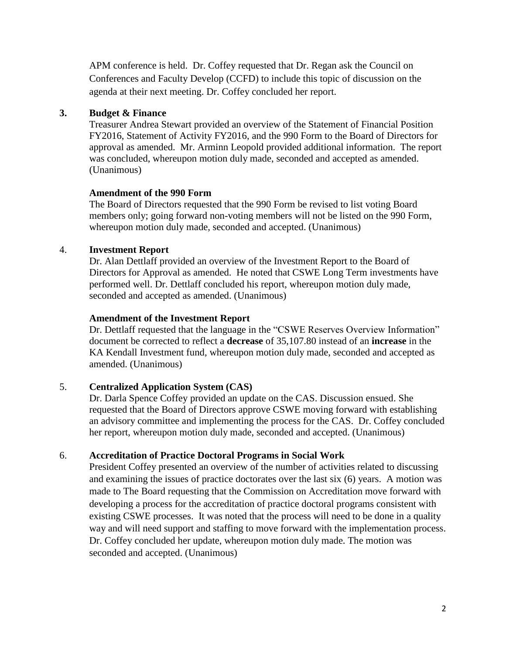APM conference is held. Dr. Coffey requested that Dr. Regan ask the Council on Conferences and Faculty Develop (CCFD) to include this topic of discussion on the agenda at their next meeting. Dr. Coffey concluded her report.

### **3. Budget & Finance**

Treasurer Andrea Stewart provided an overview of the Statement of Financial Position FY2016, Statement of Activity FY2016, and the 990 Form to the Board of Directors for approval as amended. Mr. Arminn Leopold provided additional information. The report was concluded, whereupon motion duly made, seconded and accepted as amended. (Unanimous)

#### **Amendment of the 990 Form**

The Board of Directors requested that the 990 Form be revised to list voting Board members only; going forward non-voting members will not be listed on the 990 Form, whereupon motion duly made, seconded and accepted. (Unanimous)

# 4. **Investment Report**

Dr. Alan Dettlaff provided an overview of the Investment Report to the Board of Directors for Approval as amended. He noted that CSWE Long Term investments have performed well. Dr. Dettlaff concluded his report, whereupon motion duly made, seconded and accepted as amended. (Unanimous)

### **Amendment of the Investment Report**

Dr. Dettlaff requested that the language in the "CSWE Reserves Overview Information" document be corrected to reflect a **decrease** of 35,107.80 instead of an **increase** in the KA Kendall Investment fund, whereupon motion duly made, seconded and accepted as amended. (Unanimous)

# 5. **Centralized Application System (CAS)**

Dr. Darla Spence Coffey provided an update on the CAS. Discussion ensued. She requested that the Board of Directors approve CSWE moving forward with establishing an advisory committee and implementing the process for the CAS. Dr. Coffey concluded her report, whereupon motion duly made, seconded and accepted. (Unanimous)

# 6. **Accreditation of Practice Doctoral Programs in Social Work**

President Coffey presented an overview of the number of activities related to discussing and examining the issues of practice doctorates over the last six (6) years. A motion was made to The Board requesting that the Commission on Accreditation move forward with developing a process for the accreditation of practice doctoral programs consistent with existing CSWE processes. It was noted that the process will need to be done in a quality way and will need support and staffing to move forward with the implementation process. Dr. Coffey concluded her update, whereupon motion duly made. The motion was seconded and accepted. (Unanimous)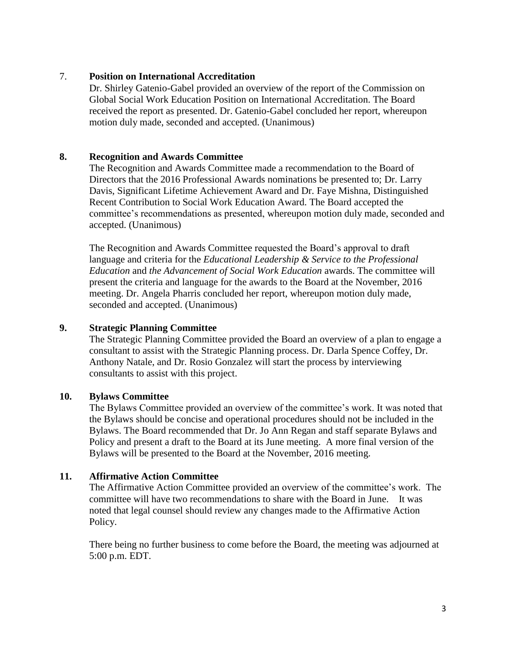### 7. **Position on International Accreditation**

Dr. Shirley Gatenio-Gabel provided an overview of the report of the Commission on Global Social Work Education Position on International Accreditation. The Board received the report as presented. Dr. Gatenio-Gabel concluded her report, whereupon motion duly made, seconded and accepted. (Unanimous)

### **8. Recognition and Awards Committee**

The Recognition and Awards Committee made a recommendation to the Board of Directors that the 2016 Professional Awards nominations be presented to; Dr. Larry Davis, Significant Lifetime Achievement Award and Dr. Faye Mishna, Distinguished Recent Contribution to Social Work Education Award. The Board accepted the committee's recommendations as presented, whereupon motion duly made, seconded and accepted. (Unanimous)

The Recognition and Awards Committee requested the Board's approval to draft language and criteria for the *Educational Leadership & Service to the Professional Education* and *the Advancement of Social Work Education* awards. The committee will present the criteria and language for the awards to the Board at the November, 2016 meeting. Dr. Angela Pharris concluded her report, whereupon motion duly made, seconded and accepted. (Unanimous)

### **9. Strategic Planning Committee**

The Strategic Planning Committee provided the Board an overview of a plan to engage a consultant to assist with the Strategic Planning process. Dr. Darla Spence Coffey, Dr. Anthony Natale, and Dr. Rosio Gonzalez will start the process by interviewing consultants to assist with this project.

#### **10. Bylaws Committee**

The Bylaws Committee provided an overview of the committee's work. It was noted that the Bylaws should be concise and operational procedures should not be included in the Bylaws. The Board recommended that Dr. Jo Ann Regan and staff separate Bylaws and Policy and present a draft to the Board at its June meeting. A more final version of the Bylaws will be presented to the Board at the November, 2016 meeting.

#### **11. Affirmative Action Committee**

The Affirmative Action Committee provided an overview of the committee's work. The committee will have two recommendations to share with the Board in June. It was noted that legal counsel should review any changes made to the Affirmative Action Policy.

There being no further business to come before the Board, the meeting was adjourned at 5:00 p.m. EDT.